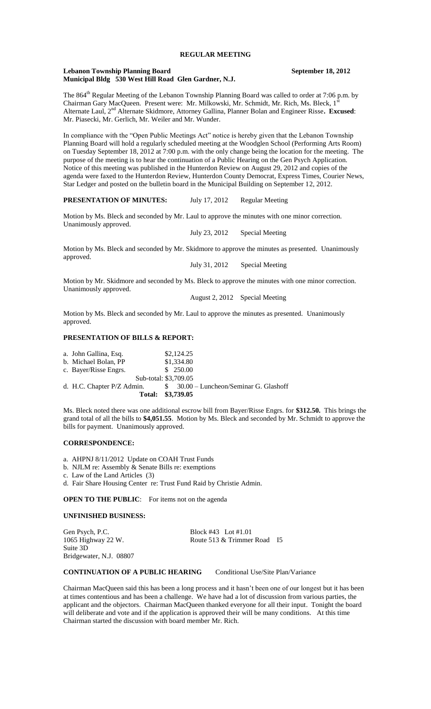### **Lebanon Township Planning Board September 18, 2012 Municipal Bldg 530 West Hill Road Glen Gardner, N.J.**

The 864<sup>th</sup> Regular Meeting of the Lebanon Township Planning Board was called to order at 7:06 p.m. by Chairman Gary MacQueen. Present were: Mr. Milkowski, Mr. Schmidt, Mr. Rich, Ms. Bleck, 1' Alternate Laul, 2nd Alternate Skidmore, Attorney Gallina, Planner Bolan and Engineer Risse**. Excused**: Mr. Piasecki, Mr. Gerlich, Mr. Weiler and Mr. Wunder.

In compliance with the "Open Public Meetings Act" notice is hereby given that the Lebanon Township Planning Board will hold a regularly scheduled meeting at the Woodglen School (Performing Arts Room) on Tuesday September 18, 2012 at 7:00 p.m. with the only change being the location for the meeting. The purpose of the meeting is to hear the continuation of a Public Hearing on the Gen Psych Application. Notice of this meeting was published in the Hunterdon Review on August 29, 2012 and copies of the agenda were faxed to the Hunterdon Review, Hunterdon County Democrat, Express Times, Courier News, Star Ledger and posted on the bulletin board in the Municipal Building on September 12, 2012.

# **PRESENTATION OF MINUTES:** July 17, 2012 Regular Meeting

Motion by Ms. Bleck and seconded by Mr. Laul to approve the minutes with one minor correction. Unanimously approved.

July 23, 2012 Special Meeting

Motion by Ms. Bleck and seconded by Mr. Skidmore to approve the minutes as presented. Unanimously approved.

July 31, 2012 Special Meeting

Motion by Mr. Skidmore and seconded by Ms. Bleck to approve the minutes with one minor correction. Unanimously approved.

August 2, 2012 Special Meeting

Motion by Ms. Bleck and seconded by Mr. Laul to approve the minutes as presented. Unanimously approved.

# **PRESENTATION OF BILLS & REPORT:**

| Total: \$3,739.05          |            |                                         |  |
|----------------------------|------------|-----------------------------------------|--|
| d. H.C. Chapter P/Z Admin. |            | $$30.00$ – Luncheon/Seminar G. Glashoff |  |
| Sub-total: \$3,709.05      |            |                                         |  |
| c. Bayer/Risse Engrs.      | \$250.00   |                                         |  |
| b. Michael Bolan, PP       | \$1,334.80 |                                         |  |
| a. John Gallina, Esq.      | \$2,124.25 |                                         |  |
|                            |            |                                         |  |

Ms. Bleck noted there was one additional escrow bill from Bayer/Risse Engrs. for **\$312.50.** This brings the grand total of all the bills to **\$4,051.55**. Motion by Ms. Bleck and seconded by Mr. Schmidt to approve the bills for payment. Unanimously approved.

# **CORRESPONDENCE:**

- a. AHPNJ 8/11/2012 Update on COAH Trust Funds
- b. NJLM re: Assembly & Senate Bills re: exemptions
- c. Law of the Land Articles (3)
- d. Fair Share Housing Center re: Trust Fund Raid by Christie Admin.

**OPEN TO THE PUBLIC:** For items not on the agenda

#### **UNFINISHED BUSINESS:**

Suite 3D Bridgewater, N.J. 08807

Gen Psych, P.C.<br>1065 Highway 22 W. Block #43 Lot #1.01<br>Route 513 & Trimmer Route 513 & Trimmer Road I5

#### **CONTINUATION OF A PUBLIC HEARING** Conditional Use/Site Plan/Variance

Chairman MacQueen said this has been a long process and it hasn't been one of our longest but it has been at times contentious and has been a challenge. We have had a lot of discussion from various parties, the applicant and the objectors. Chairman MacQueen thanked everyone for all their input. Tonight the board will deliberate and vote and if the application is approved their will be many conditions. At this time Chairman started the discussion with board member Mr. Rich.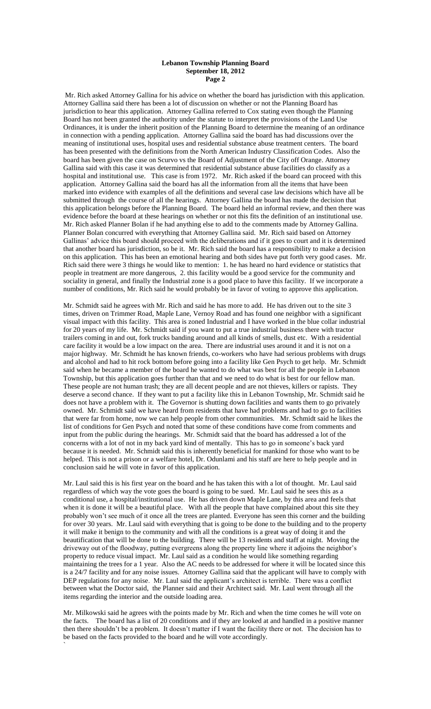### **Lebanon Township Planning Board September 18, 2012 Page 2**

Mr. Rich asked Attorney Gallina for his advice on whether the board has jurisdiction with this application. Attorney Gallina said there has been a lot of discussion on whether or not the Planning Board has jurisdiction to hear this application. Attorney Gallina referred to Cox stating even though the Planning Board has not been granted the authority under the statute to interpret the provisions of the Land Use Ordinances, it is under the inherit position of the Planning Board to determine the meaning of an ordinance in connection with a pending application. Attorney Gallina said the board has had discussions over the meaning of institutional uses, hospital uses and residential substance abuse treatment centers. The board has been presented with the definitions from the North American Industry Classification Codes. Also the board has been given the case on Scurvo vs the Board of Adjustment of the City off Orange. Attorney Gallina said with this case it was determined that residential substance abuse facilities do classify as a hospital and institutional use. This case is from 1972. Mr. Rich asked if the board can proceed with this application. Attorney Gallina said the board has all the information from all the items that have been marked into evidence with examples of all the definitions and several case law decisions which have all be submitted through the course of all the hearings. Attorney Gallina the board has made the decision that this application belongs before the Planning Board. The board held an informal review, and then there was evidence before the board at these hearings on whether or not this fits the definition of an institutional use. Mr. Rich asked Planner Bolan if he had anything else to add to the comments made by Attorney Gallina. Planner Bolan concurred with everything that Attorney Gallina said. Mr. Rich said based on Attorney Gallinas' advice this board should proceed with the deliberations and if it goes to court and it is determined that another board has jurisdiction, so be it. Mr. Rich said the board has a responsibility to make a decision on this application. This has been an emotional hearing and both sides have put forth very good cases. Mr. Rich said there were 3 things he would like to mention: 1. he has heard no hard evidence or statistics that people in treatment are more dangerous, 2. this facility would be a good service for the community and sociality in general, and finally the Industrial zone is a good place to have this facility. If we incorporate a number of conditions, Mr. Rich said he would probably be in favor of voting to approve this application.

Mr. Schmidt said he agrees with Mr. Rich and said he has more to add. He has driven out to the site 3 times, driven on Trimmer Road, Maple Lane, Vernoy Road and has found one neighbor with a significant visual impact with this facility. This area is zoned Industrial and I have worked in the blue collar industrial for 20 years of my life. Mr. Schmidt said if you want to put a true industrial business there with tractor trailers coming in and out, fork trucks banding around and all kinds of smells, dust etc. With a residential care facility it would be a low impact on the area. There are industrial uses around it and it is not on a major highway. Mr. Schmidt he has known friends, co-workers who have had serious problems with drugs and alcohol and had to hit rock bottom before going into a facility like Gen Psych to get help. Mr. Schmidt said when he became a member of the board he wanted to do what was best for all the people in Lebanon Township, but this application goes further than that and we need to do what is best for our fellow man. These people are not human trash; they are all decent people and are not thieves, killers or rapists. They deserve a second chance. If they want to put a facility like this in Lebanon Township, Mr. Schmidt said he does not have a problem with it. The Governor is shutting down facilities and wants them to go privately owned. Mr. Schmidt said we have heard from residents that have had problems and had to go to facilities that were far from home, now we can help people from other communities. Mr. Schmidt said he likes the list of conditions for Gen Psych and noted that some of these conditions have come from comments and input from the public during the hearings. Mr. Schmidt said that the board has addressed a lot of the concerns with a lot of not in my back yard kind of mentally. This has to go in someone's back yard because it is needed. Mr. Schmidt said this is inherently beneficial for mankind for those who want to be helped. This is not a prison or a welfare hotel, Dr. Odunlami and his staff are here to help people and in conclusion said he will vote in favor of this application.

Mr. Laul said this is his first year on the board and he has taken this with a lot of thought. Mr. Laul said regardless of which way the vote goes the board is going to be sued. Mr. Laul said he sees this as a conditional use, a hospital/institutional use. He has driven down Maple Lane, by this area and feels that when it is done it will be a beautiful place. With all the people that have complained about this site they probably won't see much of it once all the trees are planted. Everyone has seen this corner and the building for over 30 years. Mr. Laul said with everything that is going to be done to the building and to the property it will make it benign to the community and with all the conditions is a great way of doing it and the beautification that will be done to the building. There will be 13 residents and staff at night. Moving the driveway out of the floodway, putting evergreens along the property line where it adjoins the neighbor's property to reduce visual impact. Mr. Laul said as a condition he would like something regarding maintaining the trees for a 1 year. Also the AC needs to be addressed for where it will be located since this is a 24/7 facility and for any noise issues. Attorney Gallina said that the applicant will have to comply with DEP regulations for any noise. Mr. Laul said the applicant's architect is terrible. There was a conflict between what the Doctor said, the Planner said and their Architect said. Mr. Laul went through all the items regarding the interior and the outside loading area.

Mr. Milkowski said he agrees with the points made by Mr. Rich and when the time comes he will vote on the facts. The board has a list of 20 conditions and if they are looked at and handled in a positive manner then there shouldn't be a problem. It doesn't matter if I want the facility there or not. The decision has to be based on the facts provided to the board and he will vote accordingly.

`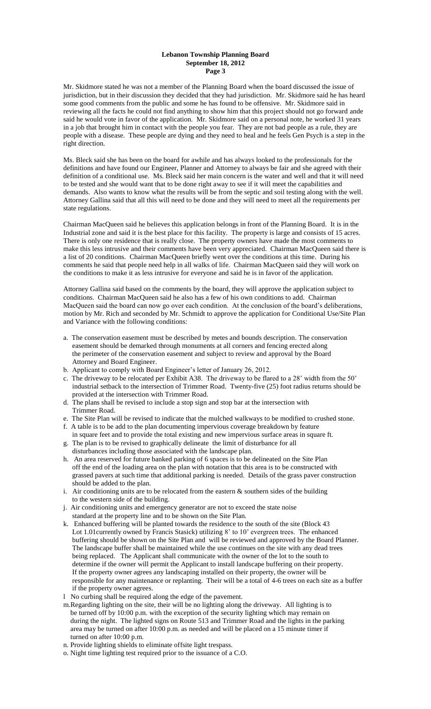## **Lebanon Township Planning Board September 18, 2012 Page 3**

Mr. Skidmore stated he was not a member of the Planning Board when the board discussed the issue of jurisdiction, but in their discussion they decided that they had jurisdiction. Mr. Skidmore said he has heard some good comments from the public and some he has found to be offensive. Mr. Skidmore said in reviewing all the facts he could not find anything to show him that this project should not go forward ande said he would vote in favor of the application. Mr. Skidmore said on a personal note, he worked 31 years in a job that brought him in contact with the people you fear. They are not bad people as a rule, they are people with a disease. These people are dying and they need to heal and he feels Gen Psych is a step in the right direction.

Ms. Bleck said she has been on the board for awhile and has always looked to the professionals for the definitions and have found our Engineer, Planner and Attorney to always be fair and she agreed with their definition of a conditional use. Ms. Bleck said her main concern is the water and well and that it will need to be tested and she would want that to be done right away to see if it will meet the capabilities and demands. Also wants to know what the results will be from the septic and soil testing along with the well. Attorney Gallina said that all this will need to be done and they will need to meet all the requirements per state regulations.

Chairman MacQueen said he believes this application belongs in front of the Planning Board. It is in the Industrial zone and said it is the best place for this facility. The property is large and consists of 15 acres. There is only one residence that is really close. The property owners have made the most comments to make this less intrusive and their comments have been very appreciated. Chairman MacQueen said there is a list of 20 conditions. Chairman MacQueen briefly went over the conditions at this time. During his comments he said that people need help in all walks of life. Chairman MacQueen said they will work on the conditions to make it as less intrusive for everyone and said he is in favor of the application.

Attorney Gallina said based on the comments by the board, they will approve the application subject to conditions. Chairman MacQueen said he also has a few of his own conditions to add. Chairman MacQueen said the board can now go over each condition. At the conclusion of the board's deliberations, motion by Mr. Rich and seconded by Mr. Schmidt to approve the application for Conditional Use/Site Plan and Variance with the following conditions:

- a. The conservation easement must be described by metes and bounds description. The conservation easement should be demarked through monuments at all corners and fencing erected along the perimeter of the conservation easement and subject to review and approval by the Board Attorney and Board Engineer.
- b. Applicant to comply with Board Engineer's letter of January 26, 2012.
- c. The driveway to be relocated per Exhibit A38. The driveway to be flared to a 28' width from the 50' industrial setback to the intersection of Trimmer Road. Twenty-five (25) foot radius returns should be provided at the intersection with Trimmer Road.
- d. The plans shall be revised to include a stop sign and stop bar at the intersection with Trimmer Road.
- e. The Site Plan will be revised to indicate that the mulched walkways to be modified to crushed stone.
- f. A table is to be add to the plan documenting impervious coverage breakdown by feature in square feet and to provide the total existing and new impervious surface areas in square ft.
- g. The plan is to be revised to graphically delineate the limit of disturbance for all disturbances including those associated with the landscape plan.
- h. An area reserved for future banked parking of 6 spaces is to be delineated on the Site Plan off the end of the loading area on the plan with notation that this area is to be constructed with grassed pavers at such time that additional parking is needed. Details of the grass paver construction should be added to the plan.
- i. Air conditioning units are to be relocated from the eastern  $\&$  southern sides of the building to the western side of the building.
- j. Air conditioning units and emergency generator are not to exceed the state noise standard at the property line and to be shown on the Site Plan.
- k. Enhanced buffering will be planted towards the residence to the south of the site (Block 43 Lot 1.01currently owned by Francis Stasick) utilizing 8' to 10' evergreen trees. The enhanced buffering should be shown on the Site Plan and will be reviewed and approved by the Board Planner. The landscape buffer shall be maintained while the use continues on the site with any dead trees being replaced. The Applicant shall communicate with the owner of the lot to the south to determine if the owner will permit the Applicant to install landscape buffering on their property. If the property owner agrees any landscaping installed on their property, the owner will be responsible for any maintenance or replanting. Their will be a total of 4-6 trees on each site as a buffer if the property owner agrees.
- l No curbing shall be required along the edge of the pavement.
- m.Regarding lighting on the site, their will be no lighting along the driveway. All lighting is to be turned off by 10:00 p.m. with the exception of the security lighting which may remain on during the night. The lighted signs on Route 513 and Trimmer Road and the lights in the parking area may be turned on after 10:00 p.m. as needed and will be placed on a 15 minute timer if turned on after 10:00 p.m.
- n. Provide lighting shields to eliminate offsite light trespass.
- o. Night time lighting test required prior to the issuance of a C.O.